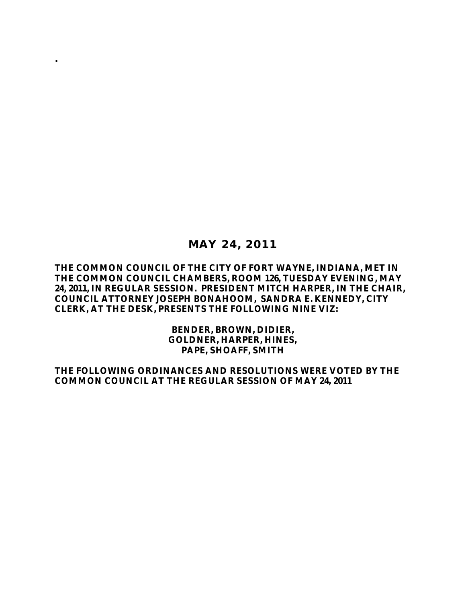### **MAY 24, 2011**

**.**

#### **THE COMMON COUNCIL OF THE CITY OF FORT WAYNE, INDIANA, MET IN THE COMMON COUNCIL CHAMBERS, ROOM 126, TUESDAY EVENING, MAY 24, 2011, IN REGULAR SESSION. PRESIDENT MITCH HARPER, IN THE CHAIR, COUNCIL ATTORNEY JOSEPH BONAHOOM, SANDRA E. KENNEDY, CITY CLERK, AT THE DESK, PRESENTS THE FOLLOWING NINE VIZ:**

**BENDER, BROWN, DIDIER, GOLDNER, HARPER, HINES, PAPE, SHOAFF, SMITH**

**THE FOLLOWING ORDINANCES AND RESOLUTIONS WERE VOTED BY THE COMMON COUNCIL AT THE REGULAR SESSION OF MAY 24, 2011**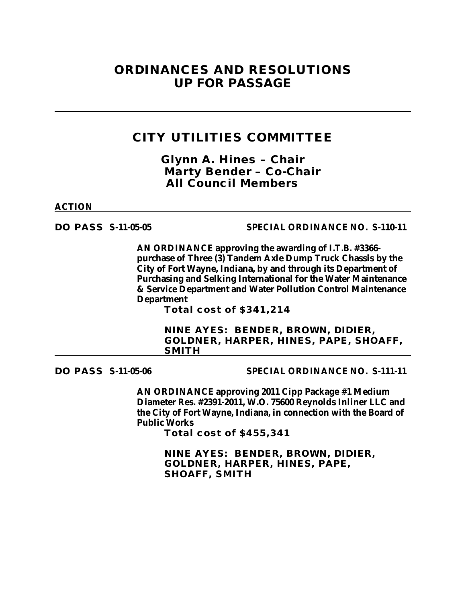# **ORDINANCES AND RESOLUTIONS UP FOR PASSAGE**

## **CITY UTILITIES COMMITTEE**

*Glynn A. Hines – Chair Marty Bender – Co-Chair All Council Members*

#### **ACTION**

#### **DO PASS S-11-05-05 SPECIAL ORDINANCE NO. S-110-11**

**AN ORDINANCE approving the awarding of I.T.B. #3366 purchase of Three (3) Tandem Axle Dump Truck Chassis by the City of Fort Wayne, Indiana, by and through its Department of Purchasing and Selking International for the Water Maintenance & Service Department and Water Pollution Control Maintenance Department**

**Total cost of \$341,214**

**NINE AYES: BENDER, BROWN, DIDIER, GOLDNER, HARPER, HINES, PAPE, SHOAFF, SMITH**

**DO PASS S-11-05-06 SPECIAL ORDINANCE NO. S-111-11**

**AN ORDINANCE approving 2011 Cipp Package #1 Medium Diameter Res. #2391-2011, W.O. 75600 Reynolds Inliner LLC and the City of Fort Wayne, Indiana, in connection with the Board of Public Works**

**Total cost of \$455,341**

**NINE AYES: BENDER, BROWN, DIDIER, GOLDNER, HARPER, HINES, PAPE, SHOAFF, SMITH**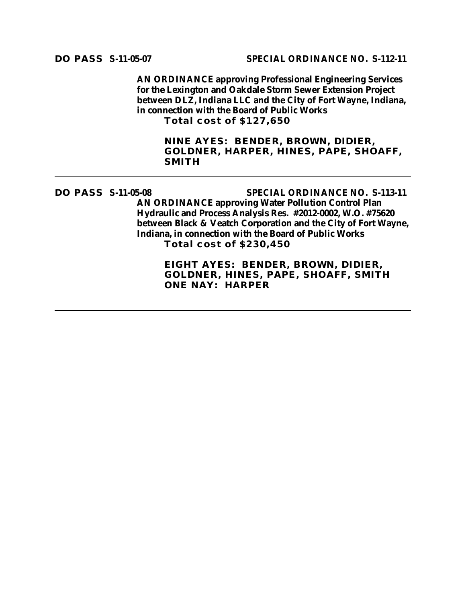**AN ORDINANCE approving Professional Engineering Services for the Lexington and Oakdale Storm Sewer Extension Project between DLZ, Indiana LLC and the City of Fort Wayne, Indiana, in connection with the Board of Public Works Total cost of \$127,650**

**NINE AYES: BENDER, BROWN, DIDIER, GOLDNER, HARPER, HINES, PAPE, SHOAFF, SMITH** 

**DO PASS S-11-05-08 SPECIAL ORDINANCE NO. S-113-11 AN ORDINANCE approving Water Pollution Control Plan Hydraulic and Process Analysis Res. #2012-0002, W.O. #75620 between Black & Veatch Corporation and the City of Fort Wayne, Indiana, in connection with the Board of Public Works Total cost of \$230,450 EIGHT AYES: BENDER, BROWN, DIDIER,**

**GOLDNER, HINES, PAPE, SHOAFF, SMITH ONE NAY: HARPER**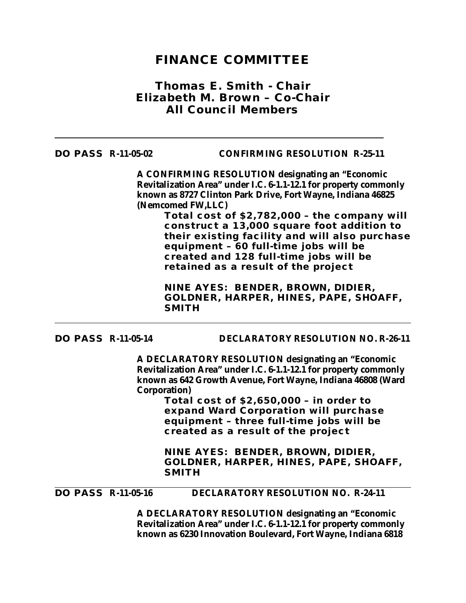## **FINANCE COMMITTEE**

### *Thomas E. Smith - Chair Elizabeth M. Brown – Co-Chair All Council Members*

**DO PASS R-11-05-02 CONFIRMING RESOLUTION R-25-11**

**A CONFIRMING RESOLUTION designating an "Economic Revitalization Area" under I.C. 6-1.1-12.1 for property commonly known as 8727 Clinton Park Drive, Fort Wayne, Indiana 46825 (Nemcomed FW,LLC)**

> **Total cost of \$2,782,000 – the company will construct a 13,000 square foot addition to their existing facility and will also purchase equipment – 60 full-time jobs will be created and 128 full-time jobs will be retained as a result of the project**

**NINE AYES: BENDER, BROWN, DIDIER, GOLDNER, HARPER, HINES, PAPE, SHOAFF, SMITH** 

#### **DO PASS R-11-05-14 DECLARATORY RESOLUTION NO. R-26-11**

**A DECLARATORY RESOLUTION designating an "Economic Revitalization Area" under I.C. 6-1.1-12.1 for property commonly known as 642 Growth Avenue, Fort Wayne, Indiana 46808 (Ward Corporation)**

> **Total cost of \$2,650,000 – in order to expand Ward Corporation will purchase equipment – three full-time jobs will be created as a result of the project**

**NINE AYES: BENDER, BROWN, DIDIER, GOLDNER, HARPER, HINES, PAPE, SHOAFF, SMITH**

#### **DO PASS R-11-05-16 DECLARATORY RESOLUTION NO. R-24-11**

**A DECLARATORY RESOLUTION designating an "Economic Revitalization Area" under I.C. 6-1.1-12.1 for property commonly known as 6230 Innovation Boulevard, Fort Wayne, Indiana 6818**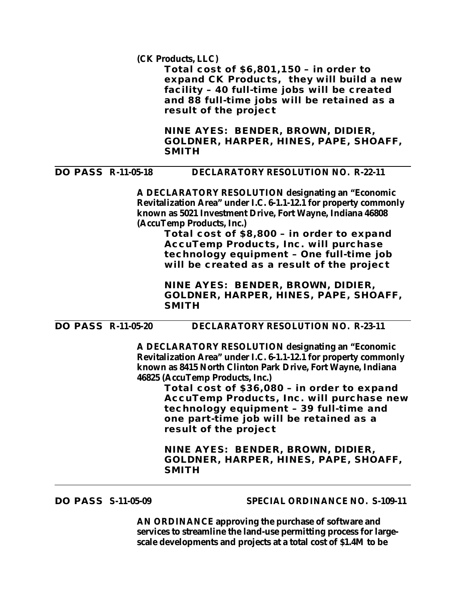**(CK Products, LLC)**

**Total cost of \$6,801,150 – in order to expand CK Products, they will build a new facility – 40 full-time jobs will be created and 88 full-time jobs will be retained as a result of the project**

**NINE AYES: BENDER, BROWN, DIDIER, GOLDNER, HARPER, HINES, PAPE, SHOAFF, SMITH** 

#### **DO PASS R-11-05-18 DECLARATORY RESOLUTION NO. R-22-11**

**A DECLARATORY RESOLUTION designating an "Economic Revitalization Area" under I.C. 6-1.1-12.1 for property commonly known as 5021 Investment Drive, Fort Wayne, Indiana 46808 (AccuTemp Products, Inc.)**

> **Total cost of \$8,800 – in order to expand AccuTemp Products, Inc. will purchase technology equipment – One full-time job will be created as a result of the project**

**NINE AYES: BENDER, BROWN, DIDIER, GOLDNER, HARPER, HINES, PAPE, SHOAFF, SMITH** 

**DO PASS R-11-05-20 DECLARATORY RESOLUTION NO. R-23-11**

**A DECLARATORY RESOLUTION designating an "Economic Revitalization Area" under I.C. 6-1.1-12.1 for property commonly known as 8415 North Clinton Park Drive, Fort Wayne, Indiana 46825 (AccuTemp Products, Inc.)**

**Total cost of \$36,080 – in order to expand AccuTemp Products, Inc. will purchase new technology equipment – 39 full-time and one part-time job will be retained as a result of the project**

**NINE AYES: BENDER, BROWN, DIDIER, GOLDNER, HARPER, HINES, PAPE, SHOAFF, SMITH** 

**DO PASS S-11-05-09 SPECIAL ORDINANCE NO. S-109-11**

**AN ORDINANCE approving the purchase of software and services to streamline the land-use permitting process for largescale developments and projects at a total cost of \$1.4M to be**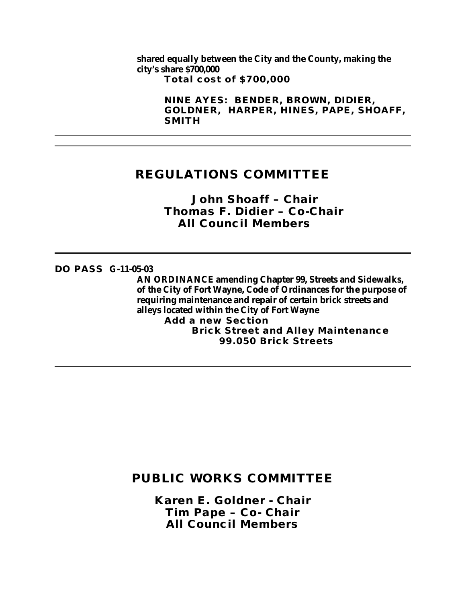**shared equally between the City and the County, making the city's share \$700,000 Total cost of \$700,000**

> **NINE AYES: BENDER, BROWN, DIDIER, GOLDNER, HARPER, HINES, PAPE, SHOAFF, SMITH**

# **REGULATIONS COMMITTEE**

*John Shoaff – Chair Thomas F. Didier – Co-Chair All Council Members*

#### **DO PASS G-11-05-03**

**AN ORDINANCE amending Chapter 99, Streets and Sidewalks, of the City of Fort Wayne, Code of Ordinances for the purpose of requiring maintenance and repair of certain brick streets and alleys located within the City of Fort Wayne**

**Add a new Section Brick Street and Alley Maintenance 99.050 Brick Streets**

# **PUBLIC WORKS COMMITTEE**

*Karen E. Goldner - Chair Tim Pape – Co- Chair All Council Members*